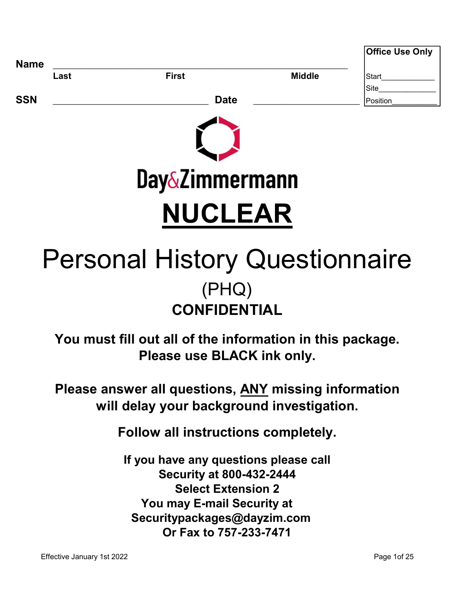|             |      |                           |               | <b>Office Use Only</b> |
|-------------|------|---------------------------|---------------|------------------------|
| <b>Name</b> | Last | <b>First</b>              | <b>Middle</b> | Start                  |
|             |      |                           |               | Site                   |
| <b>SSN</b>  |      | <b>Date</b>               |               | Position               |
|             |      | <b>Day&amp;Zimmermann</b> |               |                        |

# NUCLEAR

# **CONFIDENTIAL** Personal History Questionnaire (PHQ)

You must fill out all of the information in this package. Please use BLACK ink only.

Please answer all questions, ANY missing information will delay your background investigation.

Follow all instructions completely.

 You may E-mail Security at Securitypackages@dayzim.com If you have any questions please call Or Fax to 757-233-7471 Security at 800-432-2444 Select Extension 2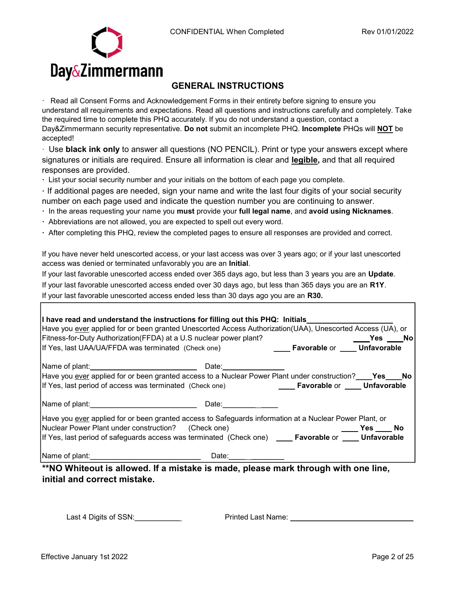

# GENERAL INSTRUCTIONS

· Read all Consent Forms and Acknowledgement Forms in their entirety before signing to ensure you understand all requirements and expectations. Read all questions and instructions carefully and completely. Take the required time to complete this PHQ accurately. If you do not understand a question, contact a Day&Zimmermann security representative. Do not submit an incomplete PHQ. Incomplete PHQs will NOT be accepted!

· Use black ink only to answer all questions (NO PENCIL). Print or type your answers except where signatures or initials are required. Ensure all information is clear and legible, and that all required responses are provided.

· List your social security number and your initials on the bottom of each page you complete.

· If additional pages are needed, sign your name and write the last four digits of your social security number on each page used and indicate the question number you are continuing to answer.

- · In the areas requesting your name you must provide your full legal name, and avoid using Nicknames.
- · Abbreviations are not allowed, you are expected to spell out every word.
- · After completing this PHQ, review the completed pages to ensure all responses are provided and correct.

If you have never held unescorted access, or your last access was over 3 years ago; or if your last unescorted access was denied or terminated unfavorably you are an Initial.

If your last favorable unescorted access ended over 365 days ago, but less than 3 years you are an Update. If your last favorable unescorted access ended over 30 days ago, but less than 365 days you are an R1Y. If your last favorable unescorted access ended less than 30 days ago you are an R30.

| I have read and understand the instructions for filling out this PHQ: Initials<br>Have you ever applied for or been granted Unescorted Access Authorization(UAA), Unescorted Access (UA), or                                                                                                                                              |                   |                                                    |  |
|-------------------------------------------------------------------------------------------------------------------------------------------------------------------------------------------------------------------------------------------------------------------------------------------------------------------------------------------|-------------------|----------------------------------------------------|--|
| Fitness-for-Duty Authorization (FFDA) at a U.S nuclear power plant?                                                                                                                                                                                                                                                                       |                   |                                                    |  |
| If Yes, last UAA/UA/FFDA was terminated (Check one)                                                                                                                                                                                                                                                                                       |                   | <b>Example 1 Favorable or Contract Unfavorable</b> |  |
|                                                                                                                                                                                                                                                                                                                                           |                   |                                                    |  |
| Have you ever applied for or been granted access to a Nuclear Power Plant under construction? ____ Yes____No                                                                                                                                                                                                                              |                   |                                                    |  |
| If Yes, last period of access was terminated (Check one) <b>Favorable</b> or <b>Faustion Controlle</b>                                                                                                                                                                                                                                    |                   |                                                    |  |
| Name of plant: Name of plant in the set of plant in the set of plant in the set of the set of the set of the set of the set of the set of the set of the set of the set of the set of the set of the set of the set of the set<br>Have you ever applied for or been granted access to Safeguards information at a Nuclear Power Plant, or | Date: ___________ |                                                    |  |
| Nuclear Power Plant under construction? (Check one)                                                                                                                                                                                                                                                                                       |                   |                                                    |  |
|                                                                                                                                                                                                                                                                                                                                           |                   |                                                    |  |
| If Yes, last period of safeguards access was terminated (Check one) ____Favorable or ____Unfavorable                                                                                                                                                                                                                                      |                   |                                                    |  |
|                                                                                                                                                                                                                                                                                                                                           | Date: ______      |                                                    |  |
| **NO Whiteout is allowed If a mistake is made please mark through with one line                                                                                                                                                                                                                                                           |                   |                                                    |  |

**O** Whiteout is allowed. If a mistake is made, please mark through with one line, initial and correct mistake.

Last 4 Digits of SSN:\_\_\_\_\_\_\_\_\_\_\_ Printed Last Name: \_\_\_\_\_\_\_\_\_\_\_\_\_\_\_\_\_\_\_\_\_\_\_\_\_\_\_\_\_\_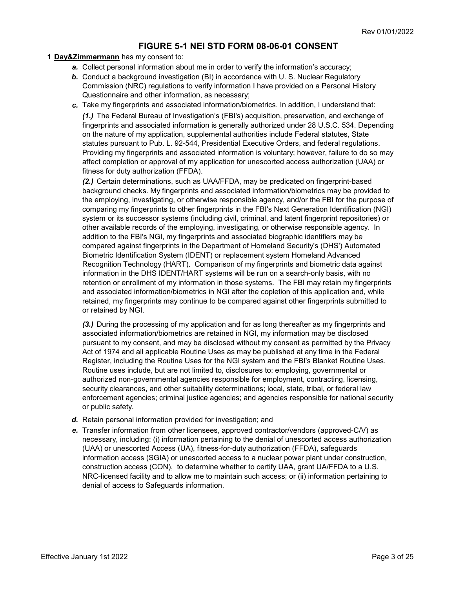### FIGURE 5-1 NEI STD FORM 08-06-01 CONSENT

#### 1 Day&Zimmermann has my consent to:

- a. Collect personal information about me in order to verify the information's accuracy;
- **b.** Conduct a background investigation (BI) in accordance with U. S. Nuclear Regulatory Commission (NRC) regulations to verify information I have provided on a Personal History Questionnaire and other information, as necessary;
- c. Take my fingerprints and associated information/biometrics. In addition, I understand that: (1.) The Federal Bureau of Investigation's (FBI's) acquisition, preservation, and exchange of

fingerprints and associated information is generally authorized under 28 U.S.C. 534. Depending on the nature of my application, supplemental authorities include Federal statutes, State statutes pursuant to Pub. L. 92-544, Presidential Executive Orders, and federal regulations. Providing my fingerprints and associated information is voluntary; however, failure to do so may affect completion or approval of my application for unescorted access authorization (UAA) or fitness for duty authorization (FFDA).

(2.) Certain determinations, such as UAA/FFDA, may be predicated on fingerprint-based background checks. My fingerprints and associated information/biometrics may be provided to the employing, investigating, or otherwise responsible agency, and/or the FBI for the purpose of comparing my fingerprints to other fingerprints in the FBI's Next Generation Identification (NGI) system or its successor systems (including civil, criminal, and latent fingerprint repositories) or other available records of the employing, investigating, or otherwise responsible agency. In addition to the FBI's NGI, my fingerprints and associated biographic identifiers may be compared against fingerprints in the Department of Homeland Security's (DHS') Automated Biometric Identification System (IDENT) or replacement system Homeland Advanced Recognition Technology (HART). Comparison of my fingerprints and biometric data against information in the DHS IDENT/HART systems will be run on a search-only basis, with no retention or enrollment of my information in those systems. The FBI may retain my fingerprints and associated information/biometrics in NGI after the copletion of this application and, while retained, my fingerprints may continue to be compared against other fingerprints submitted to or retained by NGI.

(3.) During the processing of my application and for as long thereafter as my fingerprints and associated information/biometrics are retained in NGI, my information may be disclosed pursuant to my consent, and may be disclosed without my consent as permitted by the Privacy Act of 1974 and all applicable Routine Uses as may be published at any time in the Federal Register, including the Routine Uses for the NGI system and the FBI's Blanket Routine Uses. Routine uses include, but are not limited to, disclosures to: employing, governmental or authorized non-governmental agencies responsible for employment, contracting, licensing, security clearances, and other suitability determinations; local, state, tribal, or federal law enforcement agencies; criminal justice agencies; and agencies responsible for national security or public safety.

- d. Retain personal information provided for investigation; and
- e. Transfer information from other licensees, approved contractor/vendors (approved-C/V) as necessary, including: (i) information pertaining to the denial of unescorted access authorization (UAA) or unescorted Access (UA), fitness-for-duty authorization (FFDA), safeguards information access (SGIA) or unescorted access to a nuclear power plant under construction, construction access (CON), to determine whether to certify UAA, grant UA/FFDA to a U.S. NRC-licensed facility and to allow me to maintain such access; or (ii) information pertaining to denial of access to Safeguards information.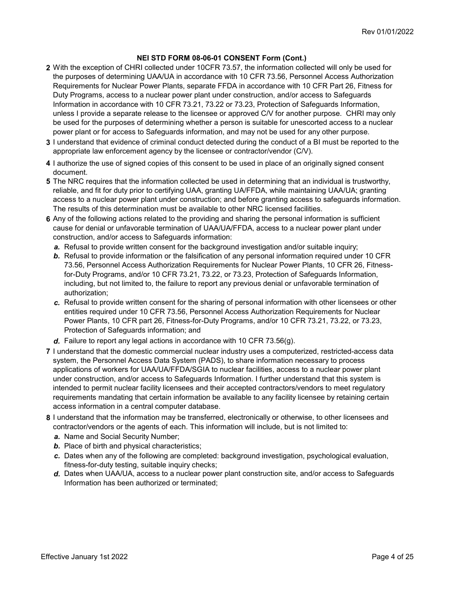- 2 With the exception of CHRI collected under 10CFR 73.57, the information collected will only be used for the purposes of determining UAA/UA in accordance with 10 CFR 73.56, Personnel Access Authorization Requirements for Nuclear Power Plants, separate FFDA in accordance with 10 CFR Part 26, Fitness for Duty Programs, access to a nuclear power plant under construction, and/or access to Safeguards Information in accordance with 10 CFR 73.21, 73.22 or 73.23, Protection of Safeguards Information, unless I provide a separate release to the licensee or approved C/V for another purpose. CHRI may only be used for the purposes of determining whether a person is suitable for unescorted access to a nuclear power plant or for access to Safeguards information, and may not be used for any other purpose.
- 3 I understand that evidence of criminal conduct detected during the conduct of a BI must be reported to the appropriate law enforcement agency by the licensee or contractor/vendor (C/V).
- 4 I authorize the use of signed copies of this consent to be used in place of an originally signed consent document.
- 5 The NRC requires that the information collected be used in determining that an individual is trustworthy, reliable, and fit for duty prior to certifying UAA, granting UA/FFDA, while maintaining UAA/UA; granting access to a nuclear power plant under construction; and before granting access to safeguards information. The results of this determination must be available to other NRC licensed facilities.
- 6 Any of the following actions related to the providing and sharing the personal information is sufficient cause for denial or unfavorable termination of UAA/UA/FFDA, access to a nuclear power plant under construction, and/or access to Safeguards information:
	- a. Refusal to provide written consent for the background investigation and/or suitable inquiry;
	- **b.** Refusal to provide information or the falsification of any personal information required under 10 CFR 73.56, Personnel Access Authorization Requirements for Nuclear Power Plants, 10 CFR 26, Fitnessfor-Duty Programs, and/or 10 CFR 73.21, 73.22, or 73.23, Protection of Safeguards Information, including, but not limited to, the failure to report any previous denial or unfavorable termination of authorization;
	- c. Refusal to provide written consent for the sharing of personal information with other licensees or other entities required under 10 CFR 73.56, Personnel Access Authorization Requirements for Nuclear Power Plants, 10 CFR part 26, Fitness-for-Duty Programs, and/or 10 CFR 73.21, 73.22, or 73.23, Protection of Safeguards information; and
	- d. Failure to report any legal actions in accordance with 10 CFR 73.56(g).
- 7 I understand that the domestic commercial nuclear industry uses a computerized, restricted-access data system, the Personnel Access Data System (PADS), to share information necessary to process applications of workers for UAA/UA/FFDA/SGIA to nuclear facilities, access to a nuclear power plant under construction, and/or access to Safeguards Information. I further understand that this system is intended to permit nuclear facility licensees and their accepted contractors/vendors to meet regulatory requirements mandating that certain information be available to any facility licensee by retaining certain access information in a central computer database.
- 8 I understand that the information may be transferred, electronically or otherwise, to other licensees and contractor/vendors or the agents of each. This information will include, but is not limited to:
	- a. Name and Social Security Number;
	- **b.** Place of birth and physical characteristics;
	- c. Dates when any of the following are completed: background investigation, psychological evaluation, fitness-for-duty testing, suitable inquiry checks;
	- d. Dates when UAA/UA, access to a nuclear power plant construction site, and/or access to Safeguards Information has been authorized or terminated;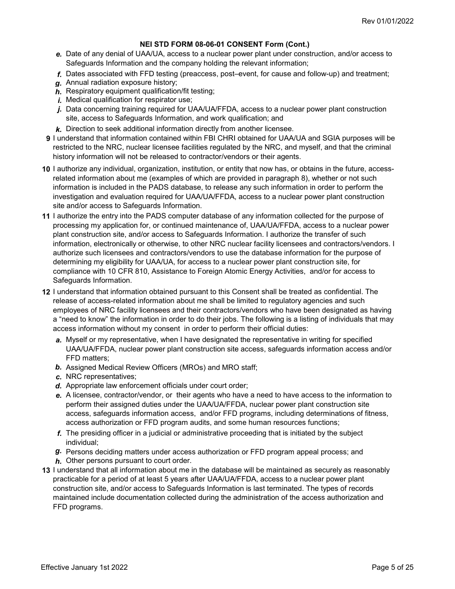- e. Date of any denial of UAA/UA, access to a nuclear power plant under construction, and/or access to Safeguards Information and the company holding the relevant information;
- f. Dates associated with FFD testing (preaccess, post–event, for cause and follow-up) and treatment;
- g. Annual radiation exposure history;
- $h$ . Respiratory equipment qualification/fit testing;
- i. Medical qualification for respirator use;
- j. Data concerning training required for UAA/UA/FFDA, access to a nuclear power plant construction site, access to Safeguards Information, and work qualification; and
- $k$ . Direction to seek additional information directly from another licensee.
- 9 I understand that information contained within FBI CHRI obtained for UAA/UA and SGIA purposes will be restricted to the NRC, nuclear licensee facilities regulated by the NRC, and myself, and that the criminal history information will not be released to contractor/vendors or their agents.
- 10 I authorize any individual, organization, institution, or entity that now has, or obtains in the future, accessrelated information about me (examples of which are provided in paragraph 8), whether or not such information is included in the PADS database, to release any such information in order to perform the investigation and evaluation required for UAA/UA/FFDA, access to a nuclear power plant construction site and/or access to Safeguards Information.
- 11 I authorize the entry into the PADS computer database of any information collected for the purpose of processing my application for, or continued maintenance of, UAA/UA/FFDA, access to a nuclear power plant construction site, and/or access to Safeguards Information. I authorize the transfer of such information, electronically or otherwise, to other NRC nuclear facility licensees and contractors/vendors. I authorize such licensees and contractors/vendors to use the database information for the purpose of determining my eligibility for UAA/UA, for access to a nuclear power plant construction site, for compliance with 10 CFR 810, Assistance to Foreign Atomic Energy Activities, and/or for access to Safeguards Information.
- 12 I understand that information obtained pursuant to this Consent shall be treated as confidential. The release of access-related information about me shall be limited to regulatory agencies and such employees of NRC facility licensees and their contractors/vendors who have been designated as having a "need to know" the information in order to do their jobs. The following is a listing of individuals that may access information without my consent in order to perform their official duties:
	- a. Myself or my representative, when I have designated the representative in writing for specified UAA/UA/FFDA, nuclear power plant construction site access, safeguards information access and/or FFD matters;
	- b. Assigned Medical Review Officers (MROs) and MRO staff;
	- c. NRC representatives;
	- d. Appropriate law enforcement officials under court order;
	- e. A licensee, contractor/vendor, or their agents who have a need to have access to the information to perform their assigned duties under the UAA/UA/FFDA, nuclear power plant construction site access, safeguards information access, and/or FFD programs, including determinations of fitness, access authorization or FFD program audits, and some human resources functions;
	- f. The presiding officer in a judicial or administrative proceeding that is initiated by the subject individual;
	- g. Persons deciding matters under access authorization or FFD program appeal process; and
	- $h$ . Other persons pursuant to court order.
- 13 I understand that all information about me in the database will be maintained as securely as reasonably practicable for a period of at least 5 years after UAA/UA/FFDA, access to a nuclear power plant construction site, and/or access to Safeguards Information is last terminated. The types of records maintained include documentation collected during the administration of the access authorization and FFD programs.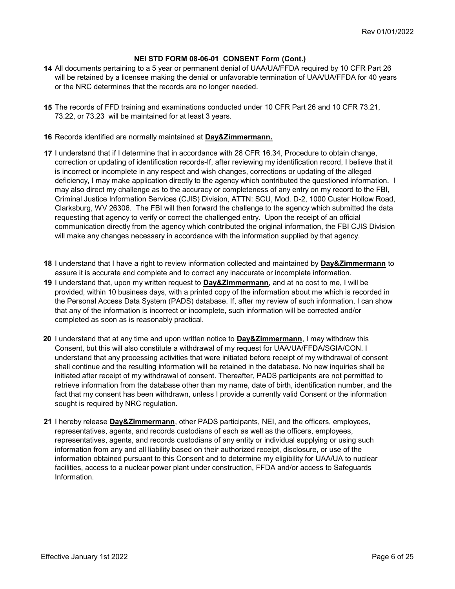- 14 All documents pertaining to a 5 year or permanent denial of UAA/UA/FFDA required by 10 CFR Part 26 will be retained by a licensee making the denial or unfavorable termination of UAA/UA/FFDA for 40 years or the NRC determines that the records are no longer needed.
- 15 The records of FFD training and examinations conducted under 10 CFR Part 26 and 10 CFR 73.21, 73.22, or 73.23 will be maintained for at least 3 years.
- 16 Records identified are normally maintained at **Day&Zimmermann.**
- 17 I understand that if I determine that in accordance with 28 CFR 16.34, Procedure to obtain change, correction or updating of identification records-If, after reviewing my identification record, I believe that it is incorrect or incomplete in any respect and wish changes, corrections or updating of the alleged deficiency, I may make application directly to the agency which contributed the questioned information. I may also direct my challenge as to the accuracy or completeness of any entry on my record to the FBI, Criminal Justice Information Services (CJIS) Division, ATTN: SCU, Mod. D-2, 1000 Custer Hollow Road, Clarksburg, WV 26306. The FBI will then forward the challenge to the agency which submitted the data requesting that agency to verify or correct the challenged entry. Upon the receipt of an official communication directly from the agency which contributed the original information, the FBI CJIS Division will make any changes necessary in accordance with the information supplied by that agency.
- 18 I understand that I have a right to review information collected and maintained by Day&Zimmermann to assure it is accurate and complete and to correct any inaccurate or incomplete information.
- 19 I understand that, upon my written request to Day&Zimmermann, and at no cost to me, I will be provided, within 10 business days, with a printed copy of the information about me which is recorded in the Personal Access Data System (PADS) database. If, after my review of such information, I can show that any of the information is incorrect or incomplete, such information will be corrected and/or completed as soon as is reasonably practical.
- 20 I understand that at any time and upon written notice to Day&Zimmermann, I may withdraw this Consent, but this will also constitute a withdrawal of my request for UAA/UA/FFDA/SGIA/CON. I understand that any processing activities that were initiated before receipt of my withdrawal of consent shall continue and the resulting information will be retained in the database. No new inquiries shall be initiated after receipt of my withdrawal of consent. Thereafter, PADS participants are not permitted to retrieve information from the database other than my name, date of birth, identification number, and the fact that my consent has been withdrawn, unless I provide a currently valid Consent or the information sought is required by NRC regulation.
- **21** I hereby release Day&Zimmermann, other PADS participants, NEI, and the officers, employees, representatives, agents, and records custodians of each as well as the officers, employees, representatives, agents, and records custodians of any entity or individual supplying or using such information from any and all liability based on their authorized receipt, disclosure, or use of the information obtained pursuant to this Consent and to determine my eligibility for UAA/UA to nuclear facilities, access to a nuclear power plant under construction, FFDA and/or access to Safeguards Information.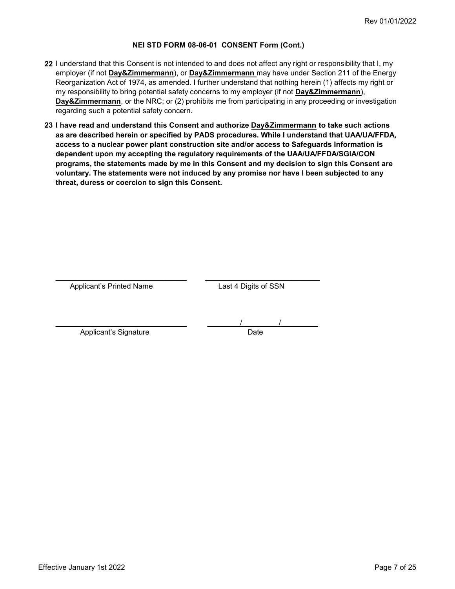- 22 I understand that this Consent is not intended to and does not affect any right or responsibility that I, my employer (if not **Day&Zimmermann**), or **Day&Zimmermann** may have under Section 211 of the Energy Reorganization Act of 1974, as amended. I further understand that nothing herein (1) affects my right or my responsibility to bring potential safety concerns to my employer (if not Day&Zimmermann), **Day&Zimmermann**, or the NRC; or (2) prohibits me from participating in any proceeding or investigation regarding such a potential safety concern.
- 23 I have read and understand this Consent and authorize <u>Day&Zimmermann</u> to take such actions as are described herein or specified by PADS procedures. While I understand that UAA/UA/FFDA, access to a nuclear power plant construction site and/or access to Safeguards Information is dependent upon my accepting the regulatory requirements of the UAA/UA/FFDA/SGIA/CON programs, the statements made by me in this Consent and my decision to sign this Consent are voluntary. The statements were not induced by any promise nor have I been subjected to any threat, duress or coercion to sign this Consent.

| <b>Applicant's Printed Name</b> | Last 4 Digits of SSN |
|---------------------------------|----------------------|
|                                 |                      |
|                                 |                      |
|                                 |                      |
|                                 |                      |
|                                 |                      |
| Applicant's Signature           | Date                 |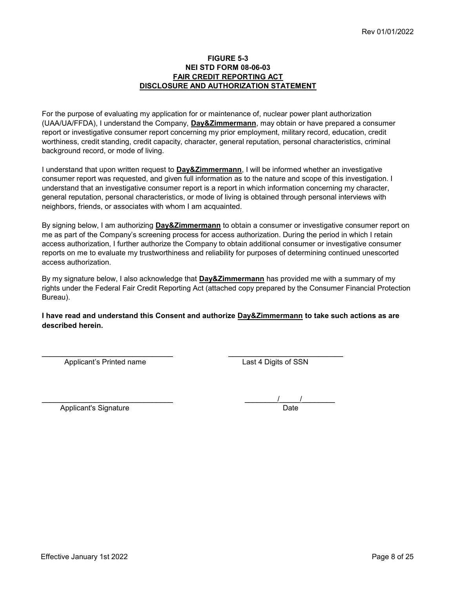#### FIGURE 5-3 NEI STD FORM 08-06-03 FAIR CREDIT REPORTING ACT DISCLOSURE AND AUTHORIZATION STATEMENT

For the purpose of evaluating my application for or maintenance of, nuclear power plant authorization (UAA/UA/FFDA), I understand the Company, Day&Zimmermann, may obtain or have prepared a consumer report or investigative consumer report concerning my prior employment, military record, education, credit worthiness, credit standing, credit capacity, character, general reputation, personal characteristics, criminal background record, or mode of living.

I understand that upon written request to Day&Zimmermann, I will be informed whether an investigative consumer report was requested, and given full information as to the nature and scope of this investigation. I understand that an investigative consumer report is a report in which information concerning my character, general reputation, personal characteristics, or mode of living is obtained through personal interviews with neighbors, friends, or associates with whom I am acquainted.

By signing below, I am authorizing Day&Zimmermann to obtain a consumer or investigative consumer report on me as part of the Company's screening process for access authorization. During the period in which I retain access authorization, I further authorize the Company to obtain additional consumer or investigative consumer reports on me to evaluate my trustworthiness and reliability for purposes of determining continued unescorted access authorization.

By my signature below, I also acknowledge that Day&Zimmermann has provided me with a summary of my rights under the Federal Fair Credit Reporting Act (attached copy prepared by the Consumer Financial Protection Bureau).

#### I have read and understand this Consent and authorize Day&Zimmermann to take such actions as are described herein.

\_\_\_\_\_\_\_\_\_\_\_\_\_\_\_\_\_\_\_\_\_\_\_\_\_\_\_\_\_\_\_\_ \_\_\_\_\_\_\_\_\_\_\_\_\_\_\_\_\_\_\_\_\_\_\_\_\_\_\_\_

Applicant's Printed name Last 4 Digits of SSN

| Applicant's Signature | הc C |  |
|-----------------------|------|--|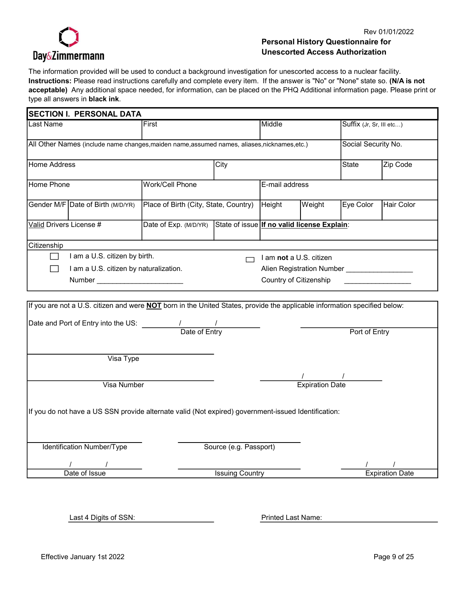

#### Rev 01/01/2022

# Personal History Questionnaire for Unescorted Access Authorization

The information provided will be used to conduct a background investigation for unescorted access to a nuclear facility. Instructions: Please read instructions carefully and complete every item. If the answer is "No" or "None" state so. (N/A is not acceptable) Any additional space needed, for information, can be placed on the PHQ Additional information page. Please print or type all answers in black ink.

| <b>SECTION I. PERSONAL DATA</b>                                                                                                  |                                                                   |      |                |                         |                           |            |
|----------------------------------------------------------------------------------------------------------------------------------|-------------------------------------------------------------------|------|----------------|-------------------------|---------------------------|------------|
| Last Name                                                                                                                        | First                                                             |      | Middle         |                         | Suffix (Jr, Sr, III etc)  |            |
| All Other Names (include name changes, maiden name, assumed names, aliases, nicknames, etc.)                                     |                                                                   |      |                |                         | Social Security No.       |            |
| <b>Home Address</b>                                                                                                              |                                                                   | City |                |                         | State                     | Zip Code   |
| <b>Home Phone</b>                                                                                                                | <b>Work/Cell Phone</b>                                            |      | E-mail address |                         |                           |            |
| Gender M/F Date of Birth (M/D/YR)                                                                                                | Place of Birth (City, State, Country)                             |      | Height         | Weight                  | Eye Color                 | Hair Color |
| Valid Drivers License #                                                                                                          | Date of Exp. (M/D/YR) State of issue If no valid license Explain: |      |                |                         |                           |            |
| Citizenship                                                                                                                      |                                                                   |      |                |                         |                           |            |
| I am a U.S. citizen by birth.                                                                                                    |                                                                   |      |                | I am not a U.S. citizen |                           |            |
| I am a U.S. citizen by naturalization.                                                                                           |                                                                   |      |                |                         | Alien Registration Number |            |
| Number and the contract of the contract of the contract of the contract of the contract of the contract of the                   |                                                                   |      |                | Country of Citizenship  |                           |            |
| If you are not a U.S. citizen and were <b>NOT</b> born in the United States, provide the applicable information specified below: |                                                                   |      |                |                         |                           |            |
|                                                                                                                                  |                                                                   |      |                |                         | Port of Entry             |            |
|                                                                                                                                  |                                                                   |      |                |                         |                           |            |
| Visa Type                                                                                                                        |                                                                   |      |                |                         |                           |            |
| <b>Visa Number</b>                                                                                                               |                                                                   |      |                | <b>Expiration Date</b>  |                           |            |

Identification Number/Type Source (e.g. Passport)

Date of Issue

/ / / /

**Issuing Country Countries Countries Countries Countries Countries Countries Countries Countries Countries Countries Countries Countries Countries Countries Countries Countries Countries Countries Countries Countries Count** 

Last 4 Digits of SSN:

Printed Last Name: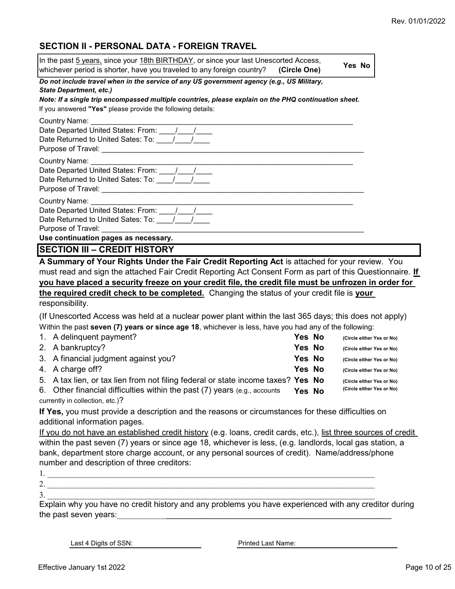# SECTION II - PERSONAL DATA - FOREIGN TRAVEL

| In the past 5 years, since your 18th BIRTHDAY, or since your last Unescorted Access,<br>whichever period is shorter, have you traveled to any foreign country?<br>(Circle One)                                                                                                                                                    |        |               | Yes No |                                                        |
|-----------------------------------------------------------------------------------------------------------------------------------------------------------------------------------------------------------------------------------------------------------------------------------------------------------------------------------|--------|---------------|--------|--------------------------------------------------------|
| Do not include travel when in the service of any US government agency (e.g., US Military,<br><b>State Department, etc.)</b><br>Note: If a single trip encompassed multiple countries, please explain on the PHQ continuation sheet.<br>If you answered "Yes" please provide the following details:                                |        |               |        |                                                        |
| Country Name:<br>Date Returned to United Sates: To: 11/12/12/12                                                                                                                                                                                                                                                                   |        |               |        |                                                        |
| Country Name: Country Name:<br>Date Departed United States: From: ____/___/____<br>Date Returned to United Sates: To: 1                                                                                                                                                                                                           |        |               |        |                                                        |
| Country Name: _<br>Purpose of Travel:                                                                                                                                                                                                                                                                                             |        |               |        |                                                        |
| Use continuation pages as necessary.                                                                                                                                                                                                                                                                                              |        |               |        |                                                        |
| <b>SECTION III - CREDIT HISTORY</b><br>A Summary of Your Rights Under the Fair Credit Reporting Act is attached for your review. You                                                                                                                                                                                              |        |               |        |                                                        |
| must read and sign the attached Fair Credit Reporting Act Consent Form as part of this Questionnaire. If<br>you have placed a security freeze on your credit file, the credit file must be unfrozen in order for<br>the required credit check to be completed. Changing the status of your credit file is your<br>responsibility. |        |               |        |                                                        |
| (If Unescorted Access was held at a nuclear power plant within the last 365 days; this does not apply)                                                                                                                                                                                                                            |        |               |        |                                                        |
| Within the past seven (7) years or since age 18, whichever is less, have you had any of the following:                                                                                                                                                                                                                            |        |               |        |                                                        |
| 1. A delinquent payment?                                                                                                                                                                                                                                                                                                          | Yes No |               |        | (Circle either Yes or No)                              |
| 2. A bankruptcy?                                                                                                                                                                                                                                                                                                                  |        | <b>Yes No</b> |        | (Circle either Yes or No)                              |
| 3. A financial judgment against you?                                                                                                                                                                                                                                                                                              |        | <b>Yes No</b> |        | (Circle either Yes or No)                              |
| 4. A charge off?                                                                                                                                                                                                                                                                                                                  | Yes No |               |        | (Circle either Yes or No)                              |
| 5. A tax lien, or tax lien from not filing federal or state income taxes? Yes No<br>6. Other financial difficulties within the past $(7)$ years (e.g., accounts Yes No                                                                                                                                                            |        |               |        | (Circle either Yes or No)<br>(Circle either Yes or No) |
| currently in collection, etc.)?                                                                                                                                                                                                                                                                                                   |        |               |        |                                                        |
| If Yes, you must provide a description and the reasons or circumstances for these difficulties on<br>additional information pages.                                                                                                                                                                                                |        |               |        |                                                        |
| If you do not have an established credit history (e.g. loans, credit cards, etc.), list three sources of credit                                                                                                                                                                                                                   |        |               |        |                                                        |
| within the past seven (7) years or since age 18, whichever is less, (e.g. landlords, local gas station, a                                                                                                                                                                                                                         |        |               |        |                                                        |
| bank, department store charge account, or any personal sources of credit). Name/address/phone                                                                                                                                                                                                                                     |        |               |        |                                                        |
| number and description of three creditors:                                                                                                                                                                                                                                                                                        |        |               |        |                                                        |
|                                                                                                                                                                                                                                                                                                                                   |        |               |        |                                                        |
| 2.                                                                                                                                                                                                                                                                                                                                |        |               |        |                                                        |
| 3.<br>Explain why you have no credit bistory and any problems you have experienced with any creditor during                                                                                                                                                                                                                       |        |               |        |                                                        |
|                                                                                                                                                                                                                                                                                                                                   |        |               |        |                                                        |

Explain why you have no credit history and any problems you have experienced with any creditor during the past seven years: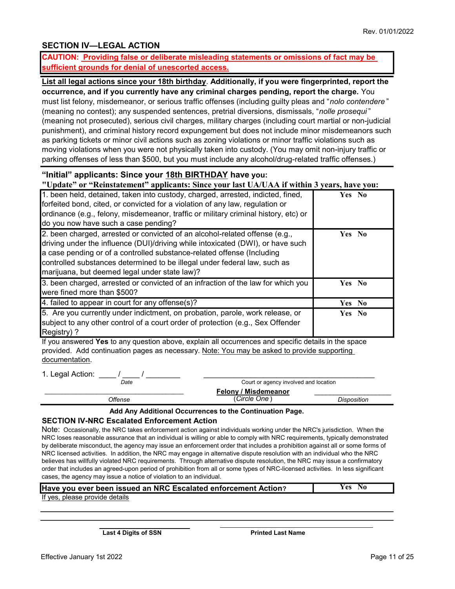# SECTION IV—LEGAL ACTION

CAUTION: Providing false or deliberate misleading statements or omissions of fact may be sufficient grounds for denial of unescorted access.

List all legal actions since your 18th birthday. Additionally, if you were fingerprinted, report the occurrence, and if you currently have any criminal charges pending, report the charge. You must list felony, misdemeanor, or serious traffic offenses (including guilty pleas and "nolo contendere" (meaning no contest); any suspended sentences, pretrial diversions, dismissals, "nolle prosequi " (meaning not prosecuted), serious civil charges, military charges (including court martial or non-judicial punishment), and criminal history record expungement but does not include minor misdemeanors such as parking tickets or minor civil actions such as zoning violations or minor traffic violations such as moving violations when you were not physically taken into custody. (You may omit non-injury traffic or parking offenses of less than \$500, but you must include any alcohol/drug-related traffic offenses.)

# "Initial" applicants: Since your 18th BIRTHDAY have you:

"Update" or "Reinstatement" applicants: Since your last UA/UAA if within 3 years, have you:

| 1. been held, detained, taken into custody, charged, arrested, indicted, fined,<br>forfeited bond, cited, or convicted for a violation of any law, regulation or<br>ordinance (e.g., felony, misdemeanor, traffic or military criminal history, etc) or<br>do you now have such a case pending?                                                                        | Yes No |
|------------------------------------------------------------------------------------------------------------------------------------------------------------------------------------------------------------------------------------------------------------------------------------------------------------------------------------------------------------------------|--------|
| 2. been charged, arrested or convicted of an alcohol-related offense (e.g.,<br>driving under the influence (DUI)/driving while intoxicated (DWI), or have such<br>a case pending or of a controlled substance-related offense (Including<br>controlled substances determined to be illegal under federal law, such as<br>marijuana, but deemed legal under state law)? | Yes No |
| 3. been charged, arrested or convicted of an infraction of the law for which you<br>were fined more than \$500?                                                                                                                                                                                                                                                        | Yes No |
| 4. failed to appear in court for any offense(s)?                                                                                                                                                                                                                                                                                                                       | Yes No |
| 5. Are you currently under indictment, on probation, parole, work release, or<br>subject to any other control of a court order of protection (e.g., Sex Offender<br>Registry)?                                                                                                                                                                                         | Yes No |

If you answered Yes to any question above, explain all occurrences and specific details in the space provided. Add continuation pages as necessary. Note: You may be asked to provide supporting documentation.

1. Legal Action:  $\frac{1}{2}$  /  $\frac{1}{2}$ 

| ັ<br>Date | Court or agency involved and location |                    |
|-----------|---------------------------------------|--------------------|
|           | <b>Felony / Misdemeanor</b>           |                    |
| Offense   | (Circle One)                          | <b>Disposition</b> |

#### Add Any Additional Occurrences to the Continuation Page.

#### SECTION IV-NRC Escalated Enforcement Action

Note: Occasionally, the NRC takes enforcement action against individuals working under the NRC's jurisdiction. When the NRC loses reasonable assurance that an individual is willing or able to comply with NRC requirements, typically demonstrated by deliberate misconduct, the agency may issue an enforcement order that includes a prohibition against all or some forms of NRC licensed activities. In addition, the NRC may engage in alternative dispute resolution with an individual who the NRC believes has willfully violated NRC requirements. Through alternative dispute resolution, the NRC may issue a confirmatory order that includes an agreed-upon period of prohibition from all or some types of NRC-licensed activities. In less significant cases, the agency may issue a notice of violation to an individual.

| Have you ever been issued an NRC Escalated enforcement Action? | Yes No |
|----------------------------------------------------------------|--------|
| If yon planno provido dataile                                  |        |

i<br>I

If yes, please provide details

Last 4 Digits of SSN

Printed Last Name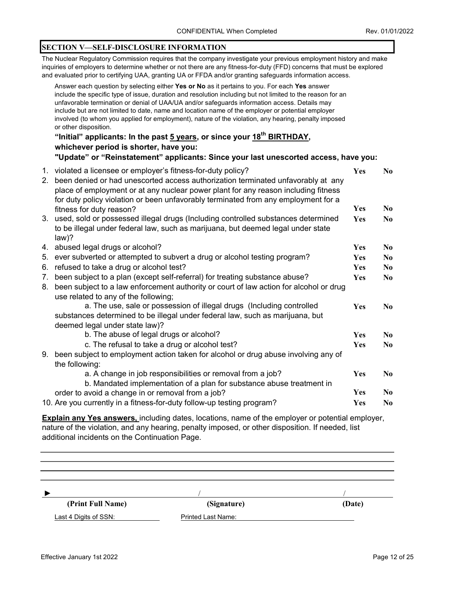#### SECTION V—SELF-DISCLOSURE INFORMATION

The Nuclear Regulatory Commission requires that the company investigate your previous employment history and make inquiries of employers to determine whether or not there are any fitness-for-duty (FFD) concerns that must be explored and evaluated prior to certifying UAA, granting UA or FFDA and/or granting safeguards information access.

|                                  | Answer each question by selecting either Yes or No as it pertains to you. For each Yes answer<br>include the specific type of issue, duration and resolution including but not limited to the reason for an<br>unfavorable termination or denial of UAA/UA and/or safeguards information access. Details may<br>include but are not limited to date, name and location name of the employer or potential employer<br>involved (to whom you applied for employment), nature of the violation, any hearing, penalty imposed<br>or other disposition. |            |                |
|----------------------------------|----------------------------------------------------------------------------------------------------------------------------------------------------------------------------------------------------------------------------------------------------------------------------------------------------------------------------------------------------------------------------------------------------------------------------------------------------------------------------------------------------------------------------------------------------|------------|----------------|
|                                  | "Initial" applicants: In the past 5 years, or since your 18 <sup>th</sup> BIRTHDAY,                                                                                                                                                                                                                                                                                                                                                                                                                                                                |            |                |
|                                  | whichever period is shorter, have you:                                                                                                                                                                                                                                                                                                                                                                                                                                                                                                             |            |                |
|                                  | "Update" or "Reinstatement" applicants: Since your last unescorted access, have you:                                                                                                                                                                                                                                                                                                                                                                                                                                                               |            |                |
|                                  | 1. violated a licensee or employer's fitness-for-duty policy?<br>2. been denied or had unescorted access authorization terminated unfavorably at any<br>place of employment or at any nuclear power plant for any reason including fitness<br>for duty policy violation or been unfavorably terminated from any employment for a                                                                                                                                                                                                                   | Yes        | N <sub>0</sub> |
|                                  | fitness for duty reason?                                                                                                                                                                                                                                                                                                                                                                                                                                                                                                                           | <b>Yes</b> | N <sub>0</sub> |
|                                  | 3. used, sold or possessed illegal drugs (Including controlled substances determined<br>to be illegal under federal law, such as marijuana, but deemed legal under state<br>$law$ ?                                                                                                                                                                                                                                                                                                                                                                | <b>Yes</b> | N <sub>0</sub> |
|                                  | 4. abused legal drugs or alcohol?                                                                                                                                                                                                                                                                                                                                                                                                                                                                                                                  | <b>Yes</b> | N <sub>0</sub> |
| 5.                               | ever subverted or attempted to subvert a drug or alcohol testing program?                                                                                                                                                                                                                                                                                                                                                                                                                                                                          | <b>Yes</b> | N <sub>0</sub> |
|                                  | 6. refused to take a drug or alcohol test?                                                                                                                                                                                                                                                                                                                                                                                                                                                                                                         | Yes        | N <sub>0</sub> |
| $7_{\scriptscriptstyle{\ddots}}$ | been subject to a plan (except self-referral) for treating substance abuse?<br>8. been subject to a law enforcement authority or court of law action for alcohol or drug<br>use related to any of the following;                                                                                                                                                                                                                                                                                                                                   | Yes        | N <sub>0</sub> |
|                                  | a. The use, sale or possession of illegal drugs (Including controlled<br>substances determined to be illegal under federal law, such as marijuana, but<br>deemed legal under state law)?                                                                                                                                                                                                                                                                                                                                                           | Yes        | N <sub>0</sub> |
|                                  | b. The abuse of legal drugs or alcohol?                                                                                                                                                                                                                                                                                                                                                                                                                                                                                                            | Yes        | N <sub>0</sub> |
|                                  | c. The refusal to take a drug or alcohol test?                                                                                                                                                                                                                                                                                                                                                                                                                                                                                                     | <b>Yes</b> | N <sub>0</sub> |
|                                  | 9. been subject to employment action taken for alcohol or drug abuse involving any of<br>the following:                                                                                                                                                                                                                                                                                                                                                                                                                                            |            |                |
|                                  | a. A change in job responsibilities or removal from a job?                                                                                                                                                                                                                                                                                                                                                                                                                                                                                         | <b>Yes</b> | N <sub>0</sub> |
|                                  | b. Mandated implementation of a plan for substance abuse treatment in                                                                                                                                                                                                                                                                                                                                                                                                                                                                              |            |                |
|                                  | order to avoid a change in or removal from a job?                                                                                                                                                                                                                                                                                                                                                                                                                                                                                                  | Yes        | N <sub>0</sub> |
|                                  | 10. Are you currently in a fitness-for-duty follow-up testing program?                                                                                                                                                                                                                                                                                                                                                                                                                                                                             | Yes        | N <sub>0</sub> |

**Explain any Yes answers, including dates, locations, name of the employer or potential employer,** nature of the violation, and any hearing, penalty imposed, or other disposition. If needed, list additional incidents on the Continuation Page.

| (Print Full Name)     | (Signature)               | (Date) |
|-----------------------|---------------------------|--------|
| Last 4 Digits of SSN: | <b>Printed Last Name:</b> |        |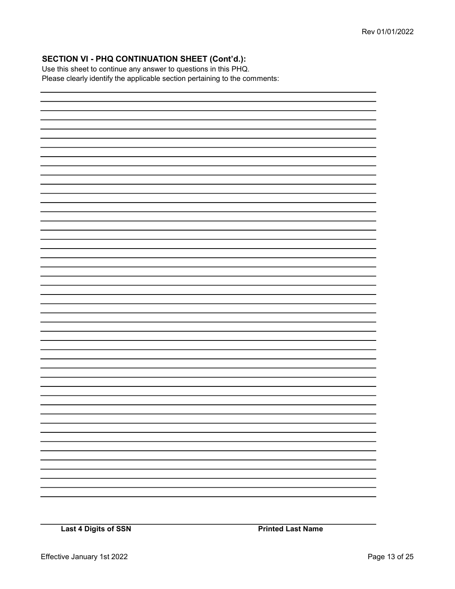# SECTION VI - PHQ CONTINUATION SHEET (Cont'd.):

Use this sheet to continue any answer to questions in this PHQ. Please clearly identify the applicable section pertaining to the comments: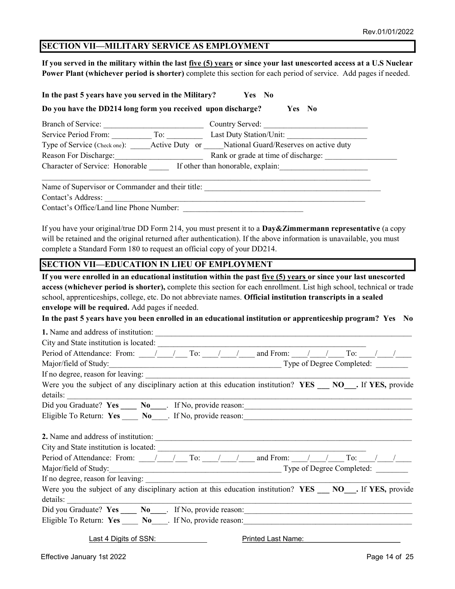# SECTION VII—MILITARY SERVICE AS EMPLOYMENT

If you served in the military within the last five (5) years or since your last unescorted access at a U.S Nuclear Power Plant (whichever period is shorter) complete this section for each period of service. Add pages if needed.

| In the past 5 years have you served in the Military? Yes No                                                                                                                                                                                                                                                                                                                                                                                             |  |
|---------------------------------------------------------------------------------------------------------------------------------------------------------------------------------------------------------------------------------------------------------------------------------------------------------------------------------------------------------------------------------------------------------------------------------------------------------|--|
| Do you have the DD214 long form you received upon discharge?<br>Yes No                                                                                                                                                                                                                                                                                                                                                                                  |  |
| Branch of Service: Country Served: Country Served:                                                                                                                                                                                                                                                                                                                                                                                                      |  |
| Service Period From: To: Last Duty Station/Unit:                                                                                                                                                                                                                                                                                                                                                                                                        |  |
| Type of Service (Check one): _____Active Duty or ____National Guard/Reserves on active duty                                                                                                                                                                                                                                                                                                                                                             |  |
| Reason For Discharge: Rank or grade at time of discharge:                                                                                                                                                                                                                                                                                                                                                                                               |  |
| Character of Service: Honorable If other than honorable, explain:                                                                                                                                                                                                                                                                                                                                                                                       |  |
|                                                                                                                                                                                                                                                                                                                                                                                                                                                         |  |
|                                                                                                                                                                                                                                                                                                                                                                                                                                                         |  |
| Contact's Office/Land line Phone Number:                                                                                                                                                                                                                                                                                                                                                                                                                |  |
| If you have your original/true DD Form 214, you must present it to a <b>Day&amp;Zimmermann representative</b> (a copy<br>will be retained and the original returned after authentication). If the above information is unavailable, you must<br>complete a Standard Form 180 to request an official copy of your DD214.                                                                                                                                 |  |
| <b>SECTION VII—EDUCATION IN LIEU OF EMPLOYMENT</b>                                                                                                                                                                                                                                                                                                                                                                                                      |  |
| school, apprenticeships, college, etc. Do not abbreviate names. Official institution transcripts in a sealed<br>envelope will be required. Add pages if needed.<br>In the past 5 years have you been enrolled in an educational institution or apprenticeship program? Yes No<br>Period of Attendance: From: $\frac{1}{\sqrt{2}}$ To: $\frac{1}{\sqrt{2}}$ and From: $\frac{1}{\sqrt{2}}$ To: $\frac{1}{\sqrt{2}}$<br>If no degree, reason for leaving: |  |
| Were you the subject of any disciplinary action at this education institution? YES __ NO__. If YES, provide<br>details:                                                                                                                                                                                                                                                                                                                                 |  |
|                                                                                                                                                                                                                                                                                                                                                                                                                                                         |  |
|                                                                                                                                                                                                                                                                                                                                                                                                                                                         |  |
| Period of Attendance: From: $\frac{1}{\sqrt{2}}$ To: $\frac{1}{\sqrt{2}}$ and From: $\frac{1}{\sqrt{2}}$ To: $\frac{1}{\sqrt{2}}$                                                                                                                                                                                                                                                                                                                       |  |
| If no degree, reason for leaving:                                                                                                                                                                                                                                                                                                                                                                                                                       |  |
| Were you the subject of any disciplinary action at this education institution? YES ___ NO __ . If YES, provide<br>details:                                                                                                                                                                                                                                                                                                                              |  |
|                                                                                                                                                                                                                                                                                                                                                                                                                                                         |  |
|                                                                                                                                                                                                                                                                                                                                                                                                                                                         |  |
| Last 4 Digits of SSN:<br>Printed Last Name: Name and Separate School and Separate School and Separate School and Separate School and Separate School and Separate School and Separate School and Separate School and Separate School and Separate Schoo                                                                                                                                                                                                 |  |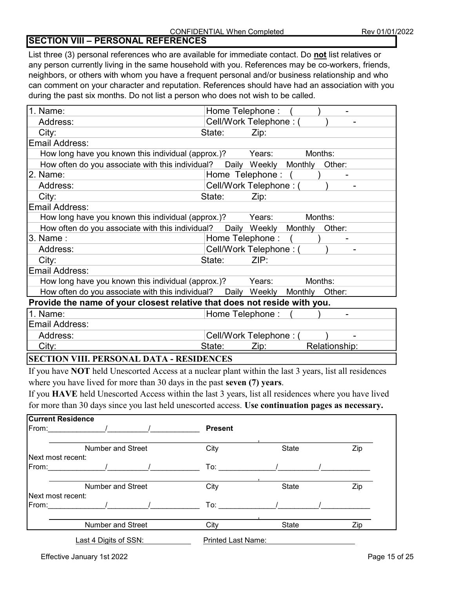# SECTION VIII – PERSONAL REFERENCES

List three (3) personal references who are available for immediate contact. Do not list relatives or any person currently living in the same household with you. References may be co-workers, friends, neighbors, or others with whom you have a frequent personal and/or business relationship and who can comment on your character and reputation. References should have had an association with you during the past six months. Do not list a person who does not wish to be called.

| Cell/Work Telephone: (<br>Address:<br>City:<br>State:<br>Zip:<br>Email Address:<br>How long have you known this individual (approx.)?<br>Years:<br>Months:<br>How often do you associate with this individual?  Daily Weekly Monthly<br>Other:<br>2. Name:<br>Home Telephone:<br>Cell/Work Telephone: (<br>Address:<br>City:<br>State:<br>Zip: |  |  |  |
|------------------------------------------------------------------------------------------------------------------------------------------------------------------------------------------------------------------------------------------------------------------------------------------------------------------------------------------------|--|--|--|
|                                                                                                                                                                                                                                                                                                                                                |  |  |  |
|                                                                                                                                                                                                                                                                                                                                                |  |  |  |
|                                                                                                                                                                                                                                                                                                                                                |  |  |  |
|                                                                                                                                                                                                                                                                                                                                                |  |  |  |
|                                                                                                                                                                                                                                                                                                                                                |  |  |  |
|                                                                                                                                                                                                                                                                                                                                                |  |  |  |
|                                                                                                                                                                                                                                                                                                                                                |  |  |  |
|                                                                                                                                                                                                                                                                                                                                                |  |  |  |
| Email Address:                                                                                                                                                                                                                                                                                                                                 |  |  |  |
| How long have you known this individual (approx.)?<br>Years:<br>Months:                                                                                                                                                                                                                                                                        |  |  |  |
| How often do you associate with this individual?  Daily Weekly Monthly<br>Other:                                                                                                                                                                                                                                                               |  |  |  |
| 3. Name :<br>Home Telephone:                                                                                                                                                                                                                                                                                                                   |  |  |  |
| Cell/Work Telephone: (<br>Address:                                                                                                                                                                                                                                                                                                             |  |  |  |
| ZIP:<br>City:<br>State:                                                                                                                                                                                                                                                                                                                        |  |  |  |
| Email Address:                                                                                                                                                                                                                                                                                                                                 |  |  |  |
| How long have you known this individual (approx.)?<br>Years:<br>Months:                                                                                                                                                                                                                                                                        |  |  |  |
| How often do you associate with this individual?  Daily Weekly Monthly<br>Other:                                                                                                                                                                                                                                                               |  |  |  |
| Provide the name of your closest relative that does not reside with you.                                                                                                                                                                                                                                                                       |  |  |  |
| 1. Name:<br>Home Telephone:                                                                                                                                                                                                                                                                                                                    |  |  |  |
| Email Address:                                                                                                                                                                                                                                                                                                                                 |  |  |  |
| Cell/Work Telephone: (<br>Address:                                                                                                                                                                                                                                                                                                             |  |  |  |
| City:<br>State:<br>Relationship:<br>Zip:                                                                                                                                                                                                                                                                                                       |  |  |  |

# SECTION VIII. PERSONAL DATA - RESIDENCES

If you have NOT held Unescorted Access at a nuclear plant within the last 3 years, list all residences where you have lived for more than 30 days in the past seven (7) years.

If you HAVE held Unescorted Access within the last 3 years, list all residences where you have lived for more than 30 days since you last held unescorted access. Use continuation pages as necessary.

| <b>Current Residence</b>  |                          |                           |       |     |
|---------------------------|--------------------------|---------------------------|-------|-----|
| From:                     |                          | <b>Present</b>            |       |     |
|                           | Number and Street        | City                      | State | Zip |
| <b>INext most recent:</b> |                          |                           |       |     |
| From:                     |                          | To:                       |       |     |
|                           | <b>Number and Street</b> | City                      | State | Zip |
| Next most recent:         |                          |                           |       |     |
| From:                     |                          | $\mathsf{To:}$            |       |     |
|                           | <b>Number and Street</b> | City                      | State | Zip |
|                           | Last 4 Digits of SSN:    | <b>Printed Last Name:</b> |       |     |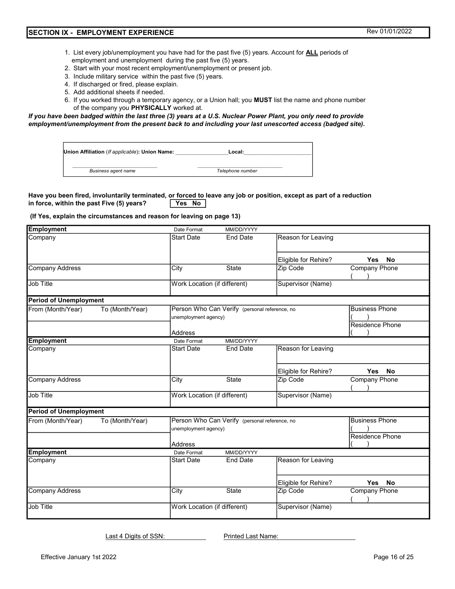- 1. List every job/unemployment you have had for the past five (5) years. Account for **ALL** periods of employment and unemployment during the past five (5) years.
- 2. Start with your most recent employment/unemployment or present job.
- 3. Include military service within the past five (5) years.
- 4. If discharged or fired, please explain.
- 5. Add additional sheets if needed.
- 6. If you worked through a temporary agency, or a Union hall; you MUST list the name and phone number of the company you PHYSICALLY worked at.

If you have been badged within the last three (3) years at a U.S. Nuclear Power Plant, you only need to provide employment/unemployment from the present back to and including your last unescorted access (badged site).

| Union Affiliation (If applicable): Union Name: | Local:           |
|------------------------------------------------|------------------|
| Business agent name                            | Telephone number |

#### in force, within the past Five  $(5)$  years? Yes No Have you been fired, involuntarily terminated, or forced to leave any job or position, except as part of a reduction

#### (If Yes, explain the circumstances and reason for leaving on page 13)

| <b>Employment</b>                    | Date Format                                       | MM/DD/YYYY                                                            |                      |                                                 |
|--------------------------------------|---------------------------------------------------|-----------------------------------------------------------------------|----------------------|-------------------------------------------------|
| Company                              | <b>Start Date</b>                                 | <b>End Date</b>                                                       | Reason for Leaving   |                                                 |
|                                      |                                                   |                                                                       |                      |                                                 |
|                                      |                                                   |                                                                       | Eligible for Rehire? | Yes<br><b>No</b>                                |
| <b>Company Address</b>               | City                                              | State                                                                 | Zip Code             | <b>Company Phone</b>                            |
| <b>Job Title</b>                     | Work Location (if different)                      |                                                                       | Supervisor (Name)    |                                                 |
| <b>Period of Unemployment</b>        |                                                   |                                                                       |                      |                                                 |
| From (Month/Year)<br>To (Month/Year) |                                                   | Person Who Can Verify (personal reference, no<br>unemployment agency) |                      | <b>Business Phone</b><br><b>Residence Phone</b> |
|                                      | <b>Address</b>                                    |                                                                       |                      |                                                 |
| <b>Employment</b>                    | Date Format                                       | MM/DD/YYYY                                                            |                      |                                                 |
| Company                              | <b>Start Date</b>                                 | <b>End Date</b>                                                       | Reason for Leaving   |                                                 |
|                                      |                                                   |                                                                       | Eligible for Rehire? | <b>Yes</b><br><b>No</b>                         |
| Company Address                      | City                                              | <b>State</b>                                                          | Zip Code             | Company Phone                                   |
| Job Title                            | Work Location (if different)<br>Supervisor (Name) |                                                                       |                      |                                                 |
| <b>Period of Unemployment</b>        |                                                   |                                                                       |                      |                                                 |
| From (Month/Year)<br>To (Month/Year) |                                                   | Person Who Can Verify (personal reference, no<br>unemployment agency) |                      | <b>Business Phone</b>                           |
|                                      | <b>Address</b>                                    |                                                                       | Residence Phone      |                                                 |
| <b>Employment</b>                    | Date Format                                       | MM/DD/YYYY                                                            |                      |                                                 |
| Company                              | <b>Start Date</b>                                 | <b>End Date</b>                                                       | Reason for Leaving   |                                                 |
|                                      |                                                   |                                                                       | Eligible for Rehire? | <b>Yes</b><br><b>No</b>                         |
| <b>Company Address</b>               | City                                              | State                                                                 | Zip Code             | <b>Company Phone</b>                            |
| <b>Job Title</b>                     | Work Location (if different)                      |                                                                       | Supervisor (Name)    |                                                 |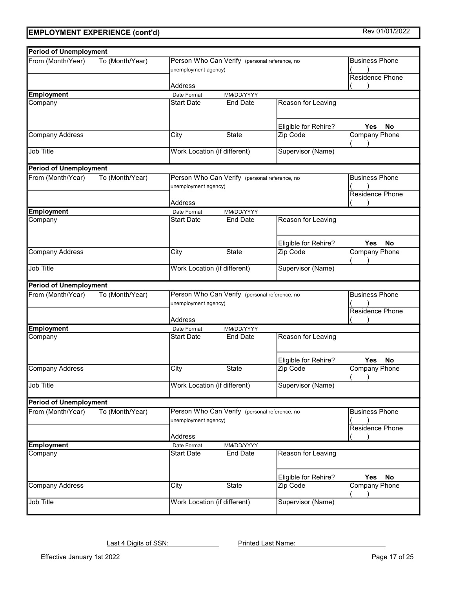| <b>Period of Unemployment</b> |                 |                                                                                  |                 |                                                 |                      |
|-------------------------------|-----------------|----------------------------------------------------------------------------------|-----------------|-------------------------------------------------|----------------------|
| From (Month/Year)             | To (Month/Year) | Person Who Can Verify (personal reference, no<br>unemployment agency)            |                 | <b>Business Phone</b><br>Residence Phone        |                      |
|                               |                 | <b>Address</b>                                                                   |                 |                                                 |                      |
| <b>Employment</b>             |                 | Date Format                                                                      | MM/DD/YYYY      |                                                 |                      |
| Company                       |                 | <b>Start Date</b>                                                                | <b>End Date</b> | Reason for Leaving                              |                      |
|                               |                 |                                                                                  |                 | Eligible for Rehire?                            | <b>Yes</b><br>No     |
| <b>Company Address</b>        |                 | City                                                                             | State           | Zip Code                                        | <b>Company Phone</b> |
| Job Title                     |                 | Work Location (if different)                                                     |                 | Supervisor (Name)                               |                      |
| <b>Period of Unemployment</b> |                 |                                                                                  |                 |                                                 |                      |
| From (Month/Year)             | To (Month/Year) | Person Who Can Verify (personal reference, no<br>unemployment agency)<br>Address |                 | <b>Business Phone</b><br><b>Residence Phone</b> |                      |
| <b>Employment</b>             |                 | Date Format                                                                      | MM/DD/YYYY      |                                                 |                      |
| Company                       |                 | <b>Start Date</b>                                                                | <b>End Date</b> | Reason for Leaving                              |                      |
|                               |                 |                                                                                  |                 | Eligible for Rehire?                            | Yes<br><b>No</b>     |
| <b>Company Address</b>        |                 | City                                                                             | <b>State</b>    | Zip Code                                        | <b>Company Phone</b> |
| <b>Job Title</b>              |                 | Work Location (if different)                                                     |                 | Supervisor (Name)                               |                      |
| <b>Period of Unemployment</b> |                 |                                                                                  |                 |                                                 |                      |
| From (Month/Year)             | To (Month/Year) | Person Who Can Verify (personal reference, no<br>unemployment agency)<br>Address |                 | <b>Business Phone</b><br><b>Residence Phone</b> |                      |
| <b>Employment</b>             |                 | Date Format                                                                      | MM/DD/YYYY      |                                                 |                      |
| Company                       |                 | <b>Start Date</b>                                                                | End Date        | Reason for Leaving                              |                      |
|                               |                 |                                                                                  |                 | Eligible for Rehire?                            | <b>Yes</b><br>No     |
| <b>Company Address</b>        |                 | City                                                                             | <b>State</b>    | Zip Code                                        | <b>Company Phone</b> |
| Job Title                     |                 | Work Location (if different)                                                     |                 | Supervisor (Name)                               |                      |
| <b>Period of Unemployment</b> |                 |                                                                                  |                 |                                                 |                      |
| From (Month/Year)             | To (Month/Year) | Person Who Can Verify (personal reference, no<br>unemployment agency)<br>Address |                 | <b>Business Phone</b><br>Residence Phone        |                      |
| <b>Employment</b>             |                 | Date Format                                                                      | MM/DD/YYYY      |                                                 |                      |
| Company                       |                 | <b>Start Date</b>                                                                | <b>End Date</b> | Reason for Leaving                              |                      |
|                               |                 |                                                                                  |                 | Eligible for Rehire?                            | No<br>Yes            |
| <b>Company Address</b>        |                 | City                                                                             | State           | Zip Code                                        | <b>Company Phone</b> |
| Job Title                     |                 | Work Location (if different)                                                     |                 | Supervisor (Name)                               |                      |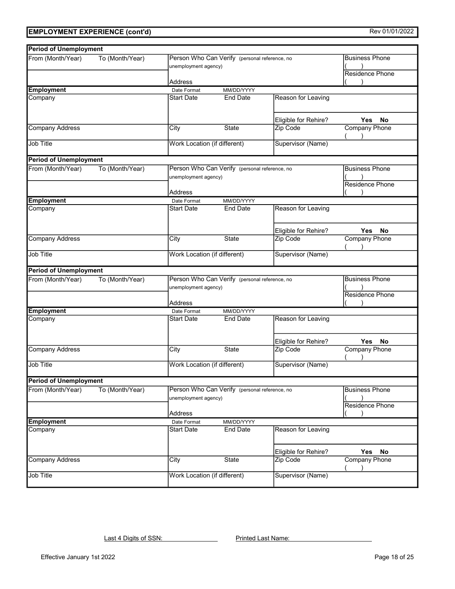| <b>Period of Unemployment</b>        |                 |                                                                       |                 |                                                 |                                                 |
|--------------------------------------|-----------------|-----------------------------------------------------------------------|-----------------|-------------------------------------------------|-------------------------------------------------|
| From (Month/Year)                    | To (Month/Year) | Person Who Can Verify (personal reference, no<br>unemployment agency) |                 | <b>Business Phone</b><br><b>Residence Phone</b> |                                                 |
|                                      |                 | Address                                                               |                 |                                                 |                                                 |
| <b>Employment</b>                    |                 | Date Format                                                           | MM/DD/YYYY      |                                                 |                                                 |
| Company                              |                 | <b>Start Date</b>                                                     | End Date        | Reason for Leaving                              |                                                 |
|                                      |                 |                                                                       |                 | Eligible for Rehire?                            | Yes<br>No                                       |
| <b>Company Address</b>               |                 | City                                                                  | <b>State</b>    | Zip Code                                        | <b>Company Phone</b>                            |
| <b>Job Title</b>                     |                 | Work Location (if different)<br>Supervisor (Name)                     |                 |                                                 |                                                 |
| <b>Period of Unemployment</b>        |                 |                                                                       |                 |                                                 |                                                 |
| From (Month/Year)<br>To (Month/Year) |                 | Person Who Can Verify (personal reference, no<br>unemployment agency) |                 |                                                 | <b>Business Phone</b><br><b>Residence Phone</b> |
|                                      |                 | Address                                                               |                 |                                                 |                                                 |
| <b>Employment</b>                    |                 | Date Format                                                           | MM/DD/YYYY      |                                                 |                                                 |
| Company                              |                 | <b>Start Date</b>                                                     | <b>End Date</b> | Reason for Leaving                              |                                                 |
|                                      |                 |                                                                       |                 | Eligible for Rehire?                            | Yes<br>No                                       |
| <b>Company Address</b>               |                 | City                                                                  | <b>State</b>    | Zip Code                                        | <b>Company Phone</b>                            |
| <b>Job Title</b>                     |                 | Work Location (if different)<br>Supervisor (Name)                     |                 |                                                 |                                                 |
| <b>Period of Unemployment</b>        |                 |                                                                       |                 |                                                 |                                                 |
| From (Month/Year)                    | To (Month/Year) | Person Who Can Verify (personal reference, no<br>unemployment agency) |                 | <b>Business Phone</b><br><b>Residence Phone</b> |                                                 |
|                                      |                 | Address                                                               |                 |                                                 |                                                 |
| <b>Employment</b>                    |                 | Date Format                                                           | MM/DD/YYYY      |                                                 |                                                 |
| Company                              |                 | <b>Start Date</b>                                                     | End Date        | Reason for Leaving                              |                                                 |
|                                      |                 |                                                                       |                 | Eligible for Rehire?                            | <b>Yes</b><br>No                                |
| <b>Company Address</b>               |                 | City                                                                  | <b>State</b>    | Zip Code                                        | <b>Company Phone</b>                            |
| <b>Job Title</b>                     |                 | Work Location (if different)                                          |                 | Supervisor (Name)                               |                                                 |
| <b>Period of Unemployment</b>        |                 |                                                                       |                 |                                                 |                                                 |
| From (Month/Year)                    | To (Month/Year) | Person Who Can Verify (personal reference, no<br>unemployment agency) |                 | <b>Business Phone</b><br>Residence Phone        |                                                 |
|                                      |                 | Address                                                               |                 |                                                 |                                                 |
| <b>Employment</b>                    |                 | Date Format                                                           | MM/DD/YYYY      |                                                 |                                                 |
| Company                              |                 | <b>Start Date</b>                                                     | <b>End Date</b> | Reason for Leaving                              |                                                 |
|                                      |                 |                                                                       |                 | Eligible for Rehire?                            | <b>Yes</b><br>No                                |
| <b>Company Address</b>               |                 | City                                                                  | State           | Zip Code                                        | Company Phone                                   |
| Job Title                            |                 | <b>Work Location (if different)</b>                                   |                 | Supervisor (Name)                               |                                                 |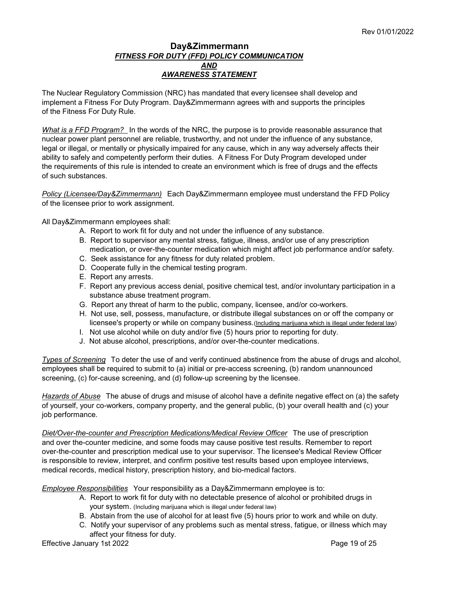#### Day&Zimmermann FITNESS FOR DUTY (FFD) POLICY COMMUNICATION AND AWARENESS STATEMENT

The Nuclear Regulatory Commission (NRC) has mandated that every licensee shall develop and implement a Fitness For Duty Program. Day&Zimmermann agrees with and supports the principles of the Fitness For Duty Rule.

What is a FFD Program? In the words of the NRC, the purpose is to provide reasonable assurance that nuclear power plant personnel are reliable, trustworthy, and not under the influence of any substance, legal or illegal, or mentally or physically impaired for any cause, which in any way adversely affects their ability to safely and competently perform their duties. A Fitness For Duty Program developed under the requirements of this rule is intended to create an environment which is free of drugs and the effects of such substances.

Policy (Licensee/Day&Zimmermann) Each Day&Zimmermann employee must understand the FFD Policy of the licensee prior to work assignment.

All Day&Zimmermann employees shall:

- A. Report to work fit for duty and not under the influence of any substance.
- B. Report to supervisor any mental stress, fatigue, illness, and/or use of any prescription medication, or over-the-counter medication which might affect job performance and/or safety.
- C. Seek assistance for any fitness for duty related problem.
- D. Cooperate fully in the chemical testing program.
- E. Report any arrests.
- F. Report any previous access denial, positive chemical test, and/or involuntary participation in a substance abuse treatment program.
- G. Report any threat of harm to the public, company, licensee, and/or co-workers.
- H. Not use, sell, possess, manufacture, or distribute illegal substances on or off the company or licensee's property or while on company business.(*Including marijuana which is illegal under federal law*)
- I. Not use alcohol while on duty and/or five (5) hours prior to reporting for duty.
- J. Not abuse alcohol, prescriptions, and/or over-the-counter medications.

Types of Screening To deter the use of and verify continued abstinence from the abuse of drugs and alcohol, employees shall be required to submit to (a) initial or pre-access screening, (b) random unannounced screening, (c) for-cause screening, and (d) follow-up screening by the licensee.

Hazards of Abuse The abuse of drugs and misuse of alcohol have a definite negative effect on (a) the safety of yourself, your co-workers, company property, and the general public, (b) your overall health and (c) your job performance.

Diet/Over-the-counter and Prescription Medications/Medical Review Officer The use of prescription and over the-counter medicine, and some foods may cause positive test results. Remember to report over-the-counter and prescription medical use to your supervisor. The licensee's Medical Review Officer is responsible to review, interpret, and confirm positive test results based upon employee interviews, medical records, medical history, prescription history, and bio-medical factors.

Employee Responsibilities Your responsibility as a Day&Zimmermann employee is to:

- A. Report to work fit for duty with no detectable presence of alcohol or prohibited drugs in your system. (Including marijuana which is illegal under federal law)
- B. Abstain from the use of alcohol for at least five (5) hours prior to work and while on duty.
- C. Notify your supervisor of any problems such as mental stress, fatigue, or illness which may affect your fitness for duty.

Effective January 1st 2022 **Page 19 of 25**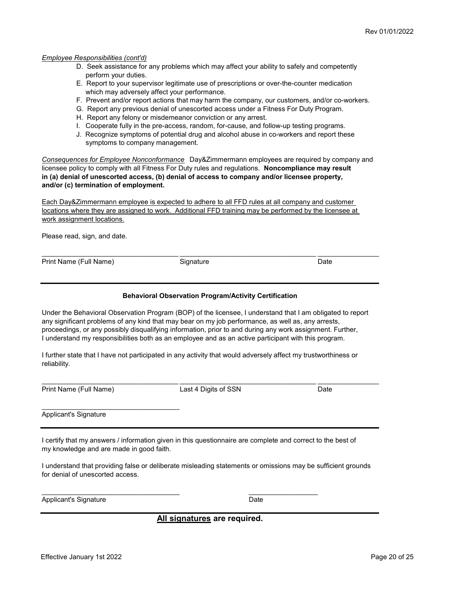#### Employee Responsibilities (cont'd)

- D. Seek assistance for any problems which may affect your ability to safely and competently perform your duties.
- E. Report to your supervisor legitimate use of prescriptions or over-the-counter medication which may adversely affect your performance.
- F. Prevent and/or report actions that may harm the company, our customers, and/or co-workers.
- G. Report any previous denial of unescorted access under a Fitness For Duty Program.
- H. Report any felony or misdemeanor conviction or any arrest.
- I. Cooperate fully in the pre-access, random, for-cause, and follow-up testing programs.
- J. Recognize symptoms of potential drug and alcohol abuse in co-workers and report these symptoms to company management.

Consequences for Employee Nonconformance Day&Zimmermann employees are required by company and licensee policy to comply with all Fitness For Duty rules and regulations. Noncompliance may result in (a) denial of unescorted access, (b) denial of access to company and/or licensee property, and/or (c) termination of employment.

Each Day&Zimmermann employee is expected to adhere to all FFD rules at all company and customer locations where they are assigned to work. Additional FFD training may be performed by the licensee at work assignment locations.

Please read, sign, and date.

Print Name (Full Name) Signature Signature Date Date

\_\_\_\_\_\_\_\_\_\_\_\_\_\_\_\_\_\_\_\_\_\_\_\_\_\_\_\_\_\_\_\_\_\_\_\_\_\_\_\_\_\_\_\_\_\_\_\_\_\_\_\_\_\_\_\_\_\_\_\_\_\_\_\_\_\_\_\_\_\_\_\_\_\_\_\_\_\_\_\_\_\_\_\_\_\_\_\_

#### Behavioral Observation Program/Activity Certification

Under the Behavioral Observation Program (BOP) of the licensee, I understand that I am obligated to report any significant problems of any kind that may bear on my job performance, as well as, any arrests, proceedings, or any possibly disqualifying information, prior to and during any work assignment. Further, I understand my responsibilities both as an employee and as an active participant with this program.

I further state that I have not participated in any activity that would adversely affect my trustworthiness or reliability.

Print Name (Full Name) Cast 4 Digits of SSN Date

 $\mathcal{L}_\text{max}$  , and the set of the set of the set of the set of the set of the set of the set of the set of the set of the set of the set of the set of the set of the set of the set of the set of the set of the set of the

\_\_\_\_\_\_\_\_\_\_\_\_\_\_\_\_\_\_\_\_\_\_\_\_\_\_\_\_\_\_\_\_\_\_\_\_\_\_\_\_\_\_\_\_\_\_\_\_\_\_\_\_\_\_\_\_\_\_\_\_\_\_\_\_\_\_\_\_\_\_\_\_\_\_\_\_\_\_\_\_\_\_\_\_\_\_\_\_

Applicant's Signature

I certify that my answers / information given in this questionnaire are complete and correct to the best of my knowledge and are made in good faith.

 $\mathcal{L}_\text{max}$  , and the contribution of the contribution of  $\mathcal{L}_\text{max}$ 

I understand that providing false or deliberate misleading statements or omissions may be sufficient grounds for denial of unescorted access.

Applicant's Signature **Date** Date **Date** 

All signatures are required.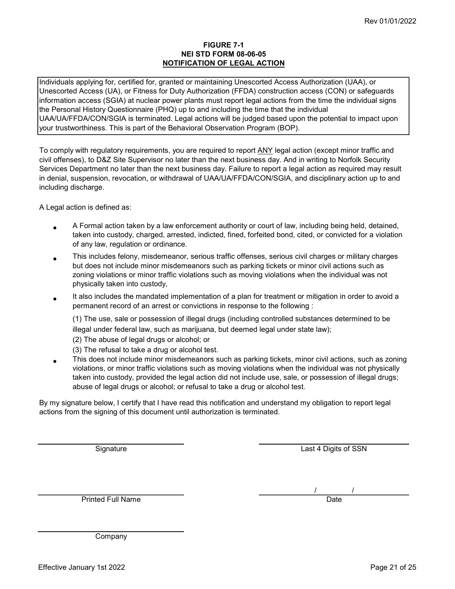#### FIGURE 7-1 NEI STD FORM 08-06-05 NOTIFICATION OF LEGAL ACTION

Individuals applying for, certified for, granted or maintaining Unescorted Access Authorization (UAA), or Unescorted Access (UA), or Fitness for Duty Authorization (FFDA) construction access (CON) or safeguards information access (SGIA) at nuclear power plants must report legal actions from the time the individual signs the Personal History Questionnaire (PHQ) up to and including the time that the individual UAA/UA/FFDA/CON/SGIA is terminated. Legal actions will be judged based upon the potential to impact upon your trustworthiness. This is part of the Behavioral Observation Program (BOP).

To comply with regulatory requirements, you are required to report ANY legal action (except minor traffic and civil offenses), to D&Z Site Supervisor no later than the next business day. And in writing to Norfolk Security Services Department no later than the next business day. Failure to report a legal action as required may result in denial, suspension, revocation, or withdrawal of UAA/UA/FFDA/CON/SGIA, and disciplinary action up to and including discharge.

A Legal action is defined as:

- A Formal action taken by a law enforcement authority or court of law, including being held, detained, taken into custody, charged, arrested, indicted, fined, forfeited bond, cited, or convicted for a violation of any law, regulation or ordinance.
- This includes felony, misdemeanor, serious traffic offenses, serious civil charges or military charges but does not include minor misdemeanors such as parking tickets or minor civil actions such as zoning violations or minor traffic violations such as moving violations when the individual was not physically taken into custody,
- It also includes the mandated implementation of a plan for treatment or mitigation in order to avoid a permanent record of an arrest or convictions in response to the following :

(1) The use, sale or possession of illegal drugs (including controlled substances determined to be illegal under federal law, such as marijuana, but deemed legal under state law);

- (2) The abuse of legal drugs or alcohol; or
- (3) The refusal to take a drug or alcohol test.
- This does not include minor misdemeanors such as parking tickets, minor civil actions, such as zoning violations, or minor traffic violations such as moving violations when the individual was not physically taken into custody, provided the legal action did not include use, sale, or possession of illegal drugs; abuse of legal drugs or alcohol; or refusal to take a drug or alcohol test.

By my signature below, I certify that I have read this notification and understand my obligation to report legal actions from the signing of this document until authorization is terminated.

**Signature** 

Last 4 Digits of SSN

**Printed Full Name** 

 $\frac{1}{\sqrt{1-\frac{1}{2}}}\$ 

Company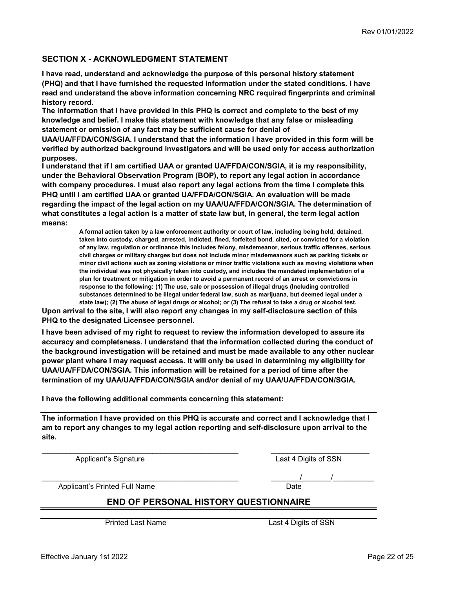#### SECTION X - ACKNOWLEDGMENT STATEMENT

I have read, understand and acknowledge the purpose of this personal history statement (PHQ) and that I have furnished the requested information under the stated conditions. I have read and understand the above information concerning NRC required fingerprints and criminal history record.

The information that I have provided in this PHQ is correct and complete to the best of my knowledge and belief. I make this statement with knowledge that any false or misleading statement or omission of any fact may be sufficient cause for denial of

UAA/UA/FFDA/CON/SGIA. I understand that the information I have provided in this form will be verified by authorized background investigators and will be used only for access authorization purposes.

I understand that if I am certified UAA or granted UA/FFDA/CON/SGIA, it is my responsibility, under the Behavioral Observation Program (BOP), to report any legal action in accordance with company procedures. I must also report any legal actions from the time I complete this PHQ until I am certified UAA or granted UA/FFDA/CON/SGIA. An evaluation will be made regarding the impact of the legal action on my UAA/UA/FFDA/CON/SGIA. The determination of what constitutes a legal action is a matter of state law but, in general, the term legal action means:

> A formal action taken by a law enforcement authority or court of law, including being held, detained, taken into custody, charged, arrested, indicted, fined, forfeited bond, cited, or convicted for a violation of any law, regulation or ordinance this includes felony, misdemeanor, serious traffic offenses, serious civil charges or military charges but does not include minor misdemeanors such as parking tickets or minor civil actions such as zoning violations or minor traffic violations such as moving violations when the individual was not physically taken into custody, and includes the mandated implementation of a plan for treatment or mitigation in order to avoid a permanent record of an arrest or convictions in response to the following: (1) The use, sale or possession of illegal drugs (Including controlled substances determined to be illegal under federal law, such as marijuana, but deemed legal under a state law); (2) The abuse of legal drugs or alcohol; or (3) The refusal to take a drug or alcohol test.

Upon arrival to the site, I will also report any changes in my self-disclosure section of this PHQ to the designated Licensee personnel.

I have been advised of my right to request to review the information developed to assure its accuracy and completeness. I understand that the information collected during the conduct of the background investigation will be retained and must be made available to any other nuclear power plant where I may request access. It will only be used in determining my eligibility for UAA/UA/FFDA/CON/SGIA. This information will be retained for a period of time after the termination of my UAA/UA/FFDA/CON/SGIA and/or denial of my UAA/UA/FFDA/CON/SGIA.

I have the following additional comments concerning this statement:

The information I have provided on this PHQ is accurate and correct and I acknowledge that I am to report any changes to my legal action reporting and self-disclosure upon arrival to the site.

\_\_\_\_\_\_\_\_\_\_\_\_\_\_\_\_\_\_\_\_\_\_\_\_\_\_\_\_\_\_\_\_\_\_\_\_\_\_\_\_\_\_\_\_\_\_\_\_ \_\_\_\_\_\_\_\_\_\_\_\_\_\_\_\_\_\_\_\_\_\_\_\_

Applicant's Signature **Last 4 Digits of SSN** 

Applicant's Printed Full Name **Date** Date

# END OF PERSONAL HISTORY QUESTIONNAIRE

 $\mathcal{L} = \mathcal{L} = \mathcal{L} = \mathcal{L} = \mathcal{L} = \mathcal{L} = \mathcal{L} = \mathcal{L} = \mathcal{L} = \mathcal{L} = \mathcal{L} = \mathcal{L} = \mathcal{L} = \mathcal{L} = \mathcal{L} = \mathcal{L} = \mathcal{L} = \mathcal{L} = \mathcal{L} = \mathcal{L} = \mathcal{L} = \mathcal{L} = \mathcal{L} = \mathcal{L} = \mathcal{L} = \mathcal{L} = \mathcal{L} = \mathcal{L} = \mathcal{L} = \mathcal{L} = \mathcal{L} = \mathcal$ 

Printed Last Name Last 4 Digits of SSN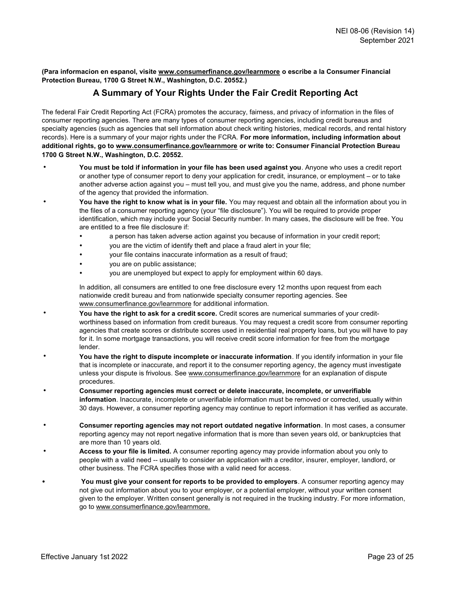(Para informacion en espanol, visite www.consumerfinance.gov/learnmore o escribe a la Consumer Financial Protection Bureau, 1700 G Street N.W., Washington, D.C. 20552.)

# A Summary of Your Rights Under the Fair Credit Reporting Act

The federal Fair Credit Reporting Act (FCRA) promotes the accuracy, fairness, and privacy of information in the files of consumer reporting agencies. There are many types of consumer reporting agencies, including credit bureaus and specialty agencies (such as agencies that sell information about check writing histories, medical records, and rental history records). Here is a summary of your major rights under the FCRA. For more information, including information about additional rights, go to www.consumerfinance.gov/learnmore or write to: Consumer Financial Protection Bureau 1700 G Street N.W., Washington, D.C. 20552.

- You must be told if information in your file has been used against you. Anyone who uses a credit report or another type of consumer report to deny your application for credit, insurance, or employment – or to take another adverse action against you – must tell you, and must give you the name, address, and phone number of the agency that provided the information.
- You have the right to know what is in your file. You may request and obtain all the information about you in the files of a consumer reporting agency (your "file disclosure"). You will be required to provide proper identification, which may include your Social Security number. In many cases, the disclosure will be free. You are entitled to a free file disclosure if:
	- a person has taken adverse action against you because of information in your credit report;
	- you are the victim of identify theft and place a fraud alert in your file;
	- your file contains inaccurate information as a result of fraud;
	- you are on public assistance;
	- you are unemployed but expect to apply for employment within 60 days.

In addition, all consumers are entitled to one free disclosure every 12 months upon request from each nationwide credit bureau and from nationwide specialty consumer reporting agencies. See www.consumerfinance.gov/learnmore for additional information.

- You have the right to ask for a credit score. Credit scores are numerical summaries of your creditworthiness based on information from credit bureaus. You may request a credit score from consumer reporting agencies that create scores or distribute scores used in residential real property loans, but you will have to pay for it. In some mortgage transactions, you will receive credit score information for free from the mortgage lender.
- You have the right to dispute incomplete or inaccurate information. If you identify information in your file that is incomplete or inaccurate, and report it to the consumer reporting agency, the agency must investigate unless your dispute is frivolous. See www.consumerfinance.gov/learnmore for an explanation of dispute procedures.
- Consumer reporting agencies must correct or delete inaccurate, incomplete, or unverifiable information. Inaccurate, incomplete or unverifiable information must be removed or corrected, usually within 30 days. However, a consumer reporting agency may continue to report information it has verified as accurate.
- Consumer reporting agencies may not report outdated negative information. In most cases, a consumer reporting agency may not report negative information that is more than seven years old, or bankruptcies that are more than 10 years old.
- Access to your file is limited. A consumer reporting agency may provide information about you only to people with a valid need -- usually to consider an application with a creditor, insurer, employer, landlord, or other business. The FCRA specifies those with a valid need for access.
- You must give your consent for reports to be provided to employers. A consumer reporting agency may not give out information about you to your employer, or a potential employer, without your written consent given to the employer. Written consent generally is not required in the trucking industry. For more information, go to www.consumerfinance.gov/learnmore.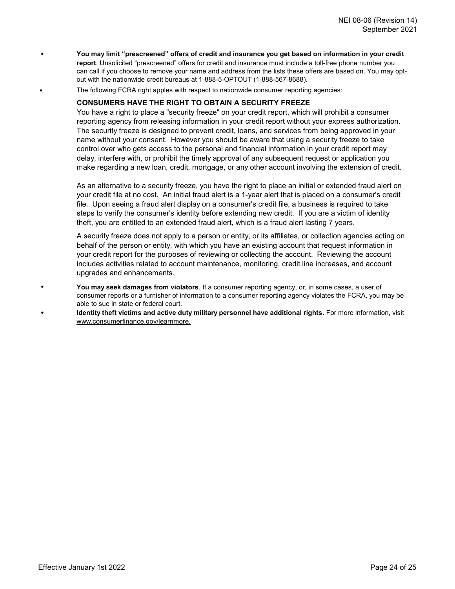- You may limit "prescreened" offers of credit and insurance you get based on information in your credit report. Unsolicited "prescreened" offers for credit and insurance must include a toll-free phone number you can call if you choose to remove your name and address from the lists these offers are based on. You may optout with the nationwide credit bureaus at 1-888-5-OPTOUT (1-888-567-8688).
	- The following FCRA right apples with respect to nationwide consumer reporting agencies:

#### CONSUMERS HAVE THE RIGHT TO OBTAIN A SECURITY FREEZE

You have a right to place a "security freeze" on your credit report, which will prohibit a consumer reporting agency from releasing information in your credit report without your express authorization. The security freeze is designed to prevent credit, loans, and services from being approved in your name without your consent. However you should be aware that using a security freeze to take control over who gets access to the personal and financial information in your credit report may delay, interfere with, or prohibit the timely approval of any subsequent request or application you make regarding a new loan, credit, mortgage, or any other account involving the extension of credit.

As an alternative to a security freeze, you have the right to place an initial or extended fraud alert on your credit file at no cost. An initial fraud alert is a 1-year alert that is placed on a consumer's credit file. Upon seeing a fraud alert display on a consumer's credit file, a business is required to take steps to verify the consumer's identity before extending new credit. If you are a victim of identity theft, you are entitled to an extended fraud alert, which is a fraud alert lasting 7 years.

A security freeze does not apply to a person or entity, or its affiliates, or collection agencies acting on behalf of the person or entity, with which you have an existing account that request information in your credit report for the purposes of reviewing or collecting the account. Reviewing the account includes activities related to account maintenance, monitoring, credit line increases, and account upgrades and enhancements.

- You may seek damages from violators. If a consumer reporting agency, or, in some cases, a user of consumer reports or a furnisher of information to a consumer reporting agency violates the FCRA, you may be able to sue in state or federal court.
- Identity theft victims and active duty military personnel have additional rights. For more information, visit www.consumerfinance.gov/learnmore.